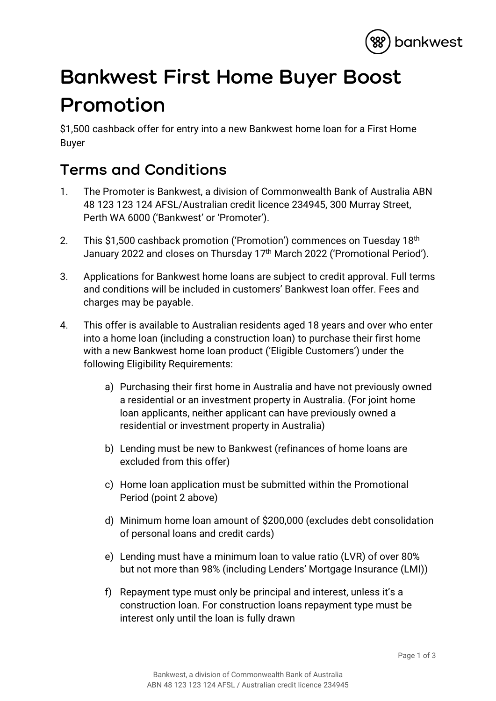

## **Bankwest First Home Buyer Boost Promotion**

\$1,500 cashback offer for entry into a new Bankwest home loan for a First Home Buyer

## **Terms and Conditions**

- 1. The Promoter is Bankwest, a division of Commonwealth Bank of Australia ABN 48 123 123 124 AFSL/Australian credit licence 234945, 300 Murray Street, Perth WA 6000 ('Bankwest' or 'Promoter').
- 2. This \$1,500 cashback promotion ('Promotion') commences on Tuesday 18<sup>th</sup> January 2022 and closes on Thursday 17<sup>th</sup> March 2022 ('Promotional Period').
- 3. Applications for Bankwest home loans are subject to credit approval. Full terms and conditions will be included in customers' Bankwest loan offer. Fees and charges may be payable.
- 4. This offer is available to Australian residents aged 18 years and over who enter into a home loan (including a construction loan) to purchase their first home with a new Bankwest home loan product ('Eligible Customers') under the following Eligibility Requirements:
	- a) Purchasing their first home in Australia and have not previously owned a residential or an investment property in Australia. (For joint home loan applicants, neither applicant can have previously owned a residential or investment property in Australia)
	- b) Lending must be new to Bankwest (refinances of home loans are excluded from this offer)
	- c) Home loan application must be submitted within the Promotional Period (point 2 above)
	- d) Minimum home loan amount of \$200,000 (excludes debt consolidation of personal loans and credit cards)
	- e) Lending must have a minimum loan to value ratio (LVR) of over 80% but not more than 98% (including Lenders' Mortgage Insurance (LMI))
	- f) Repayment type must only be principal and interest, unless it's a construction loan. For construction loans repayment type must be interest only until the loan is fully drawn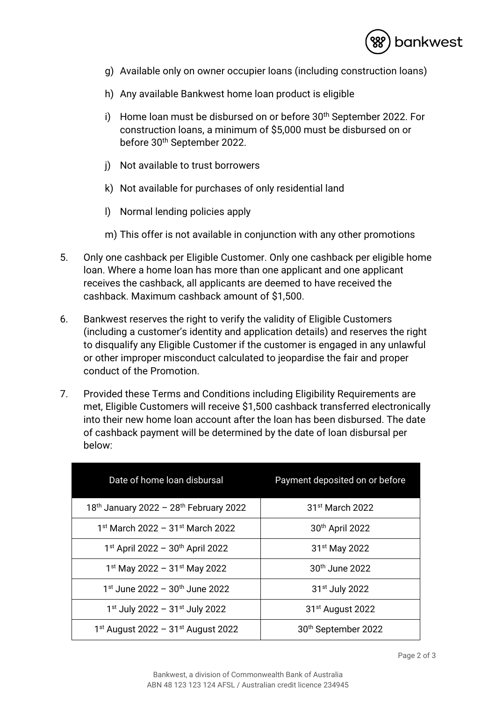

- g) Available only on owner occupier loans (including construction loans)
- h) Any available Bankwest home loan product is eligible
- i) Home loan must be disbursed on or before 30<sup>th</sup> September 2022. For construction loans, a minimum of \$5,000 must be disbursed on or before 30th September 2022.
- j) Not available to trust borrowers
- k) Not available for purchases of only residential land
- l) Normal lending policies apply
- m) This offer is not available in conjunction with any other promotions
- 5. Only one cashback per Eligible Customer. Only one cashback per eligible home loan. Where a home loan has more than one applicant and one applicant receives the cashback, all applicants are deemed to have received the cashback. Maximum cashback amount of \$1,500.
- 6. Bankwest reserves the right to verify the validity of Eligible Customers (including a customer's identity and application details) and reserves the right to disqualify any Eligible Customer if the customer is engaged in any unlawful or other improper misconduct calculated to jeopardise the fair and proper conduct of the Promotion.
- 7. Provided these Terms and Conditions including Eligibility Requirements are met, Eligible Customers will receive \$1,500 cashback transferred electronically into their new home loan account after the loan has been disbursed. The date of cashback payment will be determined by the date of loan disbursal per below:

| Date of home loan disbursal                    | Payment deposited on or before  |
|------------------------------------------------|---------------------------------|
| 18th January 2022 - 28th February 2022         | 31 <sup>st</sup> March 2022     |
| $1st$ March 2022 - 31 <sup>st</sup> March 2022 | 30th April 2022                 |
| $1st$ April 2022 - 30 <sup>th</sup> April 2022 | 31 <sup>st</sup> May 2022       |
| $1st$ May 2022 - 31 <sup>st</sup> May 2022     | 30 <sup>th</sup> June 2022      |
| $1st$ June 2022 - 30 <sup>th</sup> June 2022   | 31 <sup>st</sup> July 2022      |
| 1st July 2022 - 31st July 2022                 | 31 <sup>st</sup> August 2022    |
| 1st August 2022 - 31st August 2022             | 30 <sup>th</sup> September 2022 |